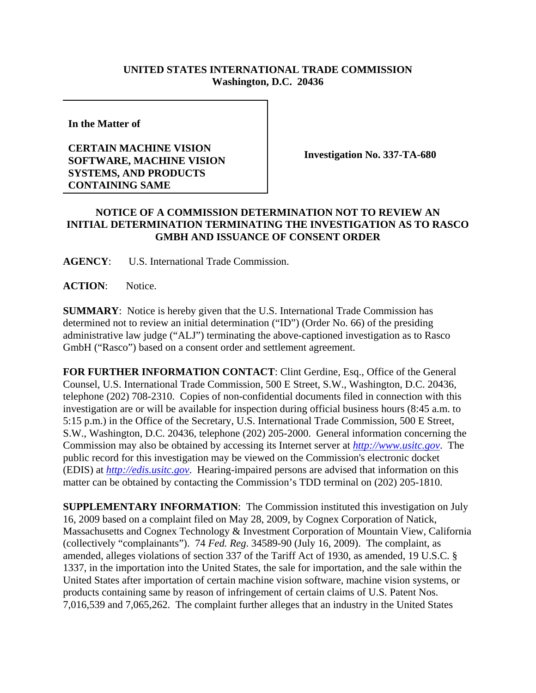## **UNITED STATES INTERNATIONAL TRADE COMMISSION Washington, D.C. 20436**

**In the Matter of** 

## **CERTAIN MACHINE VISION SOFTWARE, MACHINE VISION SYSTEMS, AND PRODUCTS CONTAINING SAME**

**Investigation No. 337-TA-680**

## **NOTICE OF A COMMISSION DETERMINATION NOT TO REVIEW AN INITIAL DETERMINATION TERMINATING THE INVESTIGATION AS TO RASCO GMBH AND ISSUANCE OF CONSENT ORDER**

**AGENCY**: U.S. International Trade Commission.

**ACTION**: Notice.

**SUMMARY**: Notice is hereby given that the U.S. International Trade Commission has determined not to review an initial determination ("ID") (Order No. 66) of the presiding administrative law judge ("ALJ") terminating the above-captioned investigation as to Rasco GmbH ("Rasco") based on a consent order and settlement agreement.

**FOR FURTHER INFORMATION CONTACT**: Clint Gerdine, Esq., Office of the General Counsel, U.S. International Trade Commission, 500 E Street, S.W., Washington, D.C. 20436, telephone (202) 708-2310. Copies of non-confidential documents filed in connection with this investigation are or will be available for inspection during official business hours (8:45 a.m. to 5:15 p.m.) in the Office of the Secretary, U.S. International Trade Commission, 500 E Street, S.W., Washington, D.C. 20436, telephone (202) 205-2000. General information concerning the Commission may also be obtained by accessing its Internet server at *http://www.usitc.gov*. The public record for this investigation may be viewed on the Commission's electronic docket (EDIS) at *http://edis.usitc.gov*. Hearing-impaired persons are advised that information on this matter can be obtained by contacting the Commission's TDD terminal on (202) 205-1810.

**SUPPLEMENTARY INFORMATION**: The Commission instituted this investigation on July 16, 2009 based on a complaint filed on May 28, 2009, by Cognex Corporation of Natick, Massachusetts and Cognex Technology & Investment Corporation of Mountain View, California (collectively "complainants"). 74 *Fed. Reg*. 34589-90 (July 16, 2009). The complaint, as amended, alleges violations of section 337 of the Tariff Act of 1930, as amended, 19 U.S.C. § 1337, in the importation into the United States, the sale for importation, and the sale within the United States after importation of certain machine vision software, machine vision systems, or products containing same by reason of infringement of certain claims of U.S. Patent Nos. 7,016,539 and 7,065,262. The complaint further alleges that an industry in the United States